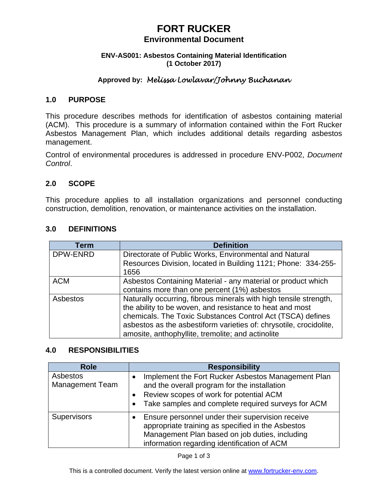# **FORT RUCKER**

#### **Environmental Document**

#### **ENV-AS001: Asbestos Containing Material Identification (1 October 2017)**

## **Approved by:** *Melissa Lowlavar/Johnny Buchanan*

#### **1.0 PURPOSE**

This procedure describes methods for identification of asbestos containing material (ACM). This procedure is a summary of information contained within the Fort Rucker Asbestos Management Plan, which includes additional details regarding asbestos management.

Control of environmental procedures is addressed in procedure ENV-P002, *Document Control*.

### **2.0 SCOPE**

This procedure applies to all installation organizations and personnel conducting construction, demolition, renovation, or maintenance activities on the installation.

| Term       | <b>Definition</b>                                                  |
|------------|--------------------------------------------------------------------|
| DPW-ENRD   | Directorate of Public Works, Environmental and Natural             |
|            | Resources Division, located in Building 1121; Phone: 334-255-      |
|            | 1656                                                               |
| <b>ACM</b> | Asbestos Containing Material - any material or product which       |
|            | contains more than one percent (1%) asbestos                       |
| Asbestos   | Naturally occurring, fibrous minerals with high tensile strength,  |
|            | the ability to be woven, and resistance to heat and most           |
|            | chemicals. The Toxic Substances Control Act (TSCA) defines         |
|            | asbestos as the asbestiform varieties of: chrysotile, crocidolite, |
|            | amosite, anthophyllite, tremolite; and actinolite                  |

#### **3.0 DEFINITIONS**

### **4.0 RESPONSIBILITIES**

| <b>Role</b>                        | <b>Responsibility</b>                                                                                                                                                                                            |
|------------------------------------|------------------------------------------------------------------------------------------------------------------------------------------------------------------------------------------------------------------|
| Asbestos<br><b>Management Team</b> | Implement the Fort Rucker Asbestos Management Plan<br>and the overall program for the installation<br>Review scopes of work for potential ACM<br>$\bullet$<br>Take samples and complete required surveys for ACM |
| <b>Supervisors</b>                 | Ensure personnel under their supervision receive<br>appropriate training as specified in the Asbestos<br>Management Plan based on job duties, including<br>information regarding identification of ACM           |

Page 1 of 3

This is a controlled document. Verify the latest version online at www.fortrucker-env.com.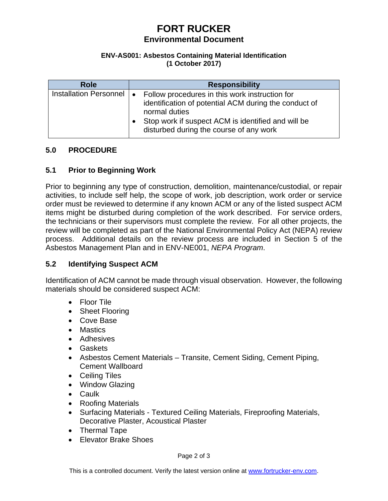# **FORT RUCKER Environmental Document**

#### **ENV-AS001: Asbestos Containing Material Identification (1 October 2017)**

| <b>Role</b>                | <b>Responsibility</b>                                                                                                                                                                                                     |
|----------------------------|---------------------------------------------------------------------------------------------------------------------------------------------------------------------------------------------------------------------------|
| Installation Personnel   • | Follow procedures in this work instruction for<br>identification of potential ACM during the conduct of<br>normal duties<br>Stop work if suspect ACM is identified and will be<br>disturbed during the course of any work |

### **5.0 PROCEDURE**

### **5.1 Prior to Beginning Work**

Prior to beginning any type of construction, demolition, maintenance/custodial, or repair activities, to include self help, the scope of work, job description, work order or service order must be reviewed to determine if any known ACM or any of the listed suspect ACM items might be disturbed during completion of the work described. For service orders, the technicians or their supervisors must complete the review. For all other projects, the review will be completed as part of the National Environmental Policy Act (NEPA) review process. Additional details on the review process are included in Section 5 of the Asbestos Management Plan and in ENV-NE001, *NEPA Program*.

### **5.2 Identifying Suspect ACM**

Identification of ACM cannot be made through visual observation. However, the following materials should be considered suspect ACM:

- Floor Tile
- Sheet Flooring
- Cove Base
- Mastics
- Adhesives
- Gaskets
- Asbestos Cement Materials Transite, Cement Siding, Cement Piping, Cement Wallboard
- Ceiling Tiles
- Window Glazing
- Caulk
- Roofing Materials
- Surfacing Materials Textured Ceiling Materials, Fireproofing Materials, Decorative Plaster, Acoustical Plaster
- Thermal Tape
- Elevator Brake Shoes